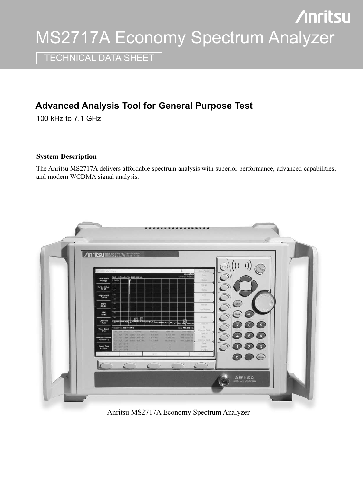# **Anritsu** MS2717A Economy Spectrum Analyzer

TECHNICAL DATA SHEET

# **Advanced Analysis Tool for General Purpose Test**

100 kHz to 7.1 GHz

# **System Description**

The Anritsu MS2717A delivers affordable spectrum analysis with superior performance, advanced capabilities, and modern WCDMA signal analysis.



Anritsu MS2717A Economy Spectrum Analyzer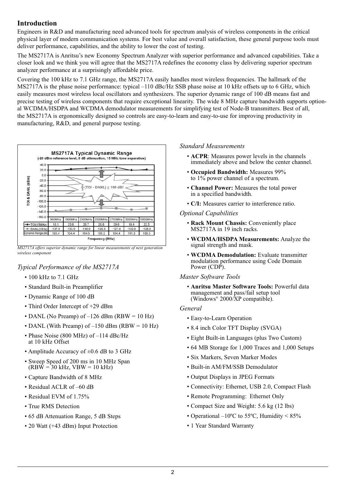# **Introduction**

Engineers in R&D and manufacturing need advanced tools for spectrum analysis of wireless components in the critical physical layer of modern communication systems. For best value and overall satisfaction, these general purpose tools must deliver performance, capabilities, and the ability to lower the cost of testing.

The MS2717A is Anritsu's new Economy Spectrum Analyzer with superior performance and advanced capabilities. Take a closer look and we think you will agree that the MS2717A redefines the economy class by delivering superior spectrum analyzer performance at a surprisingly affordable price.

Covering the 100 kHz to 7.1 GHz range, the MS2717A easily handles most wireless frequencies. The hallmark of the MS2717A is the phase noise performance: typical –110 dBc/Hz SSB phase noise at 10 kHz offsets up to 6 GHz, which easily measures most wireless local oscillators and synthesizers. The superior dynamic range of 100 dB means fast and precise testing of wireless components that require exceptional linearity. The wide 8 MHz capture bandwidth supports optional WCDMA/HSDPA and WCDMA demodulator measurements for simplifying test of Node-B transmitters. Best of all, the MS2717A is ergonomically designed so controls are easy-to-learn and easy-to-use for improving productivity in manufacturing, R&D, and general purpose testing.



*MS2717A offers superior dynamic range for linear measurements of next generation wireless component*

# *Typical Performance of the MS2717A*

- 100 kHz to 7.1 GHz
- Standard Built-in Preamplifier
- Dynamic Range of 100 dB
- Third Order Intercept of +29 dBm
- DANL (No Preamp) of  $-126$  dBm (RBW = 10 Hz)
- DANL (With Preamp) of –150 dBm (RBW = 10 Hz)
- Phase Noise (800 MHz) of -114 dBc/Hz at 10 kHz Offset
- Amplitude Accuracy of  $\pm 0.6$  dB to 3 GHz
- Sweep Speed of 200 ms in 10 MHz Span  $(RB\dot{W} = 30 \text{ kHz}, VBW = 10 \text{ kHz})$
- Capture Bandwidth of 8 MHz
- Residual ACLR of –60 dB
- Residual EVM of 1.75%
- True RMS Detection
- 65 dB Attenuation Range, 5 dB Steps
- 20 Watt (+43 dBm) Input Protection

#### *Standard Measurements*

- **ACPR**: Measures power levels in the channels immediately above and below the center channel.
- **Occupied Bandwidth:** Measures 99% to 1% power channel of a spectrum.
- **Channel Power:** Measures the total power in a specified bandwidth.
- **C/I:** Measures carrier to interference ratio.

#### *Optional Capabilities*

- **Rack Mount Chassis:** Conveniently place MS2717A in 19 inch racks.
- **WCDMA/HSDPA Measurements:** Analyze the signal strength and mask.
- **WCDMA Demodulation:** Evaluate transmitter modulation performance using Code Domain Power (CDP).

#### *Master Software Tools*

• **Anritsu Master Software Tools:** Powerful data management and pass/fail setup tool (Windows<sup>®</sup> 2000/ $\overline{X}$ P compatible).

#### *General*

- Easy-to-Learn Operation
- 8.4 inch Color TFT Display (SVGA)
- Eight Built-in Languages (plus Two Custom)
- 64 MB Storage for 1,000 Traces and 1,000 Setups
- Six Markers, Seven Marker Modes
- Built-in AM/FM/SSB Demodulator
- Output Displays in JPEG Formats
- Connectivity: Ethernet, USB 2.0, Compact Flash
- Remote Programming: Ethernet Only
- Compact Size and Weight: 5.6 kg (12 lbs)
- Operational  $-10^{\circ}$ C to 55 $^{\circ}$ C, Humidity < 85%
- 1 Year Standard Warranty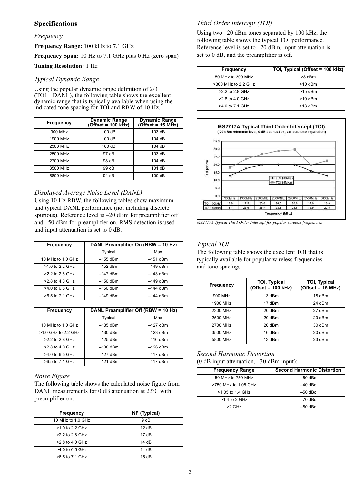# **Specifications**

#### *Frequency*

**Frequency Range:** 100 kHz to 7.1 GHz

**Frequency Span:** 10 Hz to 7.1 GHz plus 0 Hz (zero span)

#### **Tuning Resolution:** 1 Hz

#### *Typical Dynamic Range*

Using the popular dynamic range definition of 2/3  $(TOI – DANL)$ , the following table shows the excellent dynamic range that is typically available when using the indicated tone spacing for TOI and RBW of 10 Hz.

| Frequency | Dynamic Range<br>(Offset = 100 kHz) | Dynamic Range<br>(Offset = 15 MHz) |
|-----------|-------------------------------------|------------------------------------|
| 900 MHz   | 100dB                               | 103dB                              |
| 1900 MHz  | 100dB                               | 104dB                              |
| 2300 MHz  | 100dB                               | 104dB                              |
| 2500 MHz  | 97 dB                               | 103dB                              |
| 2700 MHz  | 98 dB                               | 104dB                              |
| 3500 MHz  | 99 dB                               | 101 dB                             |
| 5800 MHz  | 94 dB                               | 100dB                              |

## *Displayed Average Noise Level (DANL)*

Using 10 Hz RBW, the following tables show maximum and typical DANL performance (not including discrete spurious). Reference level is –20 dBm for preamplifier off and –50 dBm for preamplifier on. RMS detection is used and input attenuation is set to 0 dB.

| <b>Frequency</b>  | DANL Preamplifier On (RBW = 10 Hz) |            |
|-------------------|------------------------------------|------------|
|                   | Typical                            | Max        |
| 10 MHz to 1.0 GHz | $-155$ dBm                         | $-151$ dBm |
| $>1.0$ to 2.2 GHz | $-152$ dBm                         | $-149$ dBm |
| $>2.2$ to 2.8 GHz | $-147$ dBm                         | $-143$ dBm |
| >2.8 to 4.0 GHz   | $-150$ dBm                         | $-149$ dBm |
| $>4.0$ to 6.5 GHz | $-150$ dBm                         | $-144$ dBm |
| >6.5 to 7.1 GHz   | $-149$ dBm                         | $-144$ dBm |

| <b>Frequency</b>      | DANL Preamplifier Off (RBW = 10 Hz) |            |
|-----------------------|-------------------------------------|------------|
|                       | Typical                             | Max        |
| 10 MHz to 1.0 GHz     | $-135$ dBm                          | $-127$ dBm |
| $>1.0$ GHz to 2.2 GHz | $-130$ dBm                          | $-123$ dBm |
| >2.2 to 2.8 GHz       | $-125$ dBm                          | $-116$ dBm |
| $>2.8$ to 4.0 GHz     | $-130$ dBm                          | $-126$ dBm |
| $>4.0$ to 6.5 GHz     | $-127$ dBm                          | $-117$ dBm |
| >6.5 to 7.1 GHz       | $-121$ dBm                          | $-117$ dBm |

#### *Noise Figure*

The following table shows the calculated noise figure from DANL measurements for 0 dB attenuation at 23°C with preamplifier on.

| <b>Frequency</b>  | NF (Typical)        |
|-------------------|---------------------|
| 10 MHz to 1.0 GHz | 9 dB                |
| $>1.0$ to 2.2 GHz | 12dB                |
| >2.2 to 2.8 GHz   | 17dB                |
| $>2.8$ to 4.0 GHz | $14$ d <sub>B</sub> |
| $>4.0$ to 6.5 GHz | 14dB                |
| >6.5 to 7.1 GHz   | 15dB                |
|                   |                     |

# *Third Order Intercept (TOI)*

Using two –20 dBm tones separated by 100 kHz, the following table shows the typical TOI performance. Reference level is set to  $-20$  dBm, input attenuation is set to 0 dB, and the preamplifier is off.

| Frequency             | TOI, Typical (Offset = 100 kHz) |
|-----------------------|---------------------------------|
| 50 MHz to 300 MHz     | >8 dBm                          |
| $>300$ MHz to 2.2 GHz | $>10$ dBm                       |
| $>2.2$ to 2.8 GHz     | $>15$ dBm                       |
| $>2.8$ to 4.0 GHz     | $>10$ dBm                       |
| >4.0 to 7.1 GHz       | $>13$ dBm                       |



*MS2717A Typical Third Order Intercept for popular wireless frequencies*

### *Typical TOI*

The following table shows the excellent TOI that is typically available for popular wireless frequencies and tone spacings.

| <b>Frequency</b> | <b>TOI, Typical</b><br>$(Offset = 100 kHz)$ | <b>TOI, Typical</b><br>$(Offset = 15 MHz)$ |
|------------------|---------------------------------------------|--------------------------------------------|
| 900 MHz          | 13 dBm                                      | 18 dBm                                     |
| 1900 MHz         | 17 dBm                                      | 24 dBm                                     |
| 2300 MHz         | 20 dBm                                      | 27 dBm                                     |
| 2500 MHz         | $20$ dBm                                    | 29 dBm                                     |
| 2700 MHz         | $20$ dBm                                    | 30 dBm                                     |
| 3500 MHz         | 16 dBm                                      | 20 dBm                                     |
| 5800 MHz         | 13 dBm                                      | 23 dBm                                     |

# *Second Harmonic Distortion*

(0 dB input attenuation, –30 dBm input):

| <b>Frequency Range</b> | <b>Second Harmonic Distortion</b> |
|------------------------|-----------------------------------|
| 50 MHz to 750 MHz      | $-50$ dBc                         |
| >750 MHz to 1.05 GHz   | $-40$ dBc                         |
| >1.05 to 1.4 GHz       | $-50$ dBc                         |
| $>1.4$ to 2 GHz        | $-70$ dBc                         |
| $>2$ GHz               | $-80$ dBc.                        |
|                        |                                   |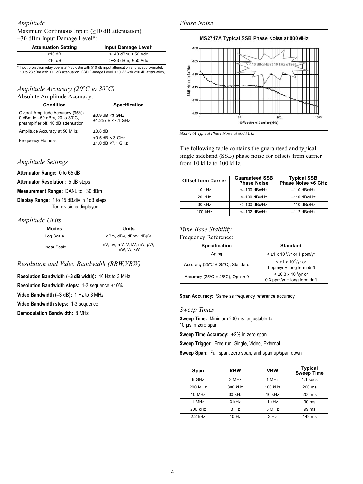#### *Amplitude* Maximum Continuous Input: (≥10 dB attenuation), +30 dBm Input Damage Level\*:

| <b>Attenuation Setting</b> | Input Damage Level*      |
|----------------------------|--------------------------|
| $≥10$ dB                   | $>+43$ dBm. $±50$ Vdc    |
| $<$ 10 dB                  | $>+23$ dBm. $\pm 50$ Vdc |

Input protection relay opens at >30 dBm with ≥10 dB input attenuation and at approximately 10 to 23 dBm with <10 dB attenuation. ESD Damage Level: >10 kV with ≥10 dB attenuation,

# *Amplitude Accuracy (20°C to 30°C)*

Absolute Amplitude Accuracy:

| <b>Condition</b>                                                                                         | <b>Specification</b>                       |
|----------------------------------------------------------------------------------------------------------|--------------------------------------------|
| Overall Amplitude Accuracy (95%)<br>0 dBm to -50 dBm, 20 to 30°C,<br>preamplifier off, 10 dB attenuation | $\pm 0.9$ dB <3 GHz<br>$+1$ 25 dB <7 1 GHz |
| Amplitude Accuracy at 50 MHz                                                                             | $\pm 0.8$ dB                               |
| <b>Frequency Flatness</b>                                                                                | $\pm 0.5$ dB < 3 GHz<br>$±1.0$ dB <7.1 GHz |

## *Amplitude Settings*

**Attenuator Range:** 0 to 65 dB

**Attenuator Resolution:** 5 dB steps

**Measurement Range:** DANL to +30 dBm

**Display Range:** 1 to 15 dB/div in 1dB steps Ten divisions displayed

#### *Amplitude Units*

| <b>Modes</b> | Units                                   |
|--------------|-----------------------------------------|
| Log Scale    | dBm, dBV, dBmv, dBµV                    |
| Linear Scale | nV, µV, mV, V, kV, nW, µW,<br>mW. W. kW |

*Resolution and Video Bandwidth (RBW,VBW)*

**Resolution Bandwidth (–3 dB width):** 10 Hz to 3 MHz

**Resolution Bandwidth steps:** 1-3 sequence ±10%

**Video Bandwidth (–3 dB):** 1 Hz to 3 MHz

**Video Bandwidth steps:** 1-3 sequence

**Demodulation Bandwidth:** <sup>8</sup> MHz *Sweep Times*

#### *Phase Noise*



*MS2717A Typical Phase Noise at 800 MHz*

The following table contains the guaranteed and typical single sideband (SSB) phase noise for offsets from carrier from 10 kHz to 100 kHz.

| <b>Offset from Carrier</b> | <b>Guaranteed SSB</b><br><b>Phase Noise</b> | Typical SSB<br>Phase Noise <6 GHz |
|----------------------------|---------------------------------------------|-----------------------------------|
| $10$ kHz                   | $<-100$ dBc/Hz                              | $-110$ dBc/Hz                     |
| $20$ kHz                   | $<-100$ dBc/Hz                              | $-110$ dBc/Hz                     |
| 30 kHz                     | $<-100$ dBc/Hz                              | $-110$ dBc/Hz                     |
| 100 kHz                    | $<-102$ dBc/Hz                              | $-112$ dBc/Hz                     |

# *Time Base Stability*

Frequency Reference:

| <b>Specification</b>             | <b>Standard</b>                                                     |
|----------------------------------|---------------------------------------------------------------------|
| Aging                            | $\leq \pm 1 \times 10^{-6}$ /yr or 1 ppm/yr                         |
| Accuracy (25°C ± 25°C), Standard | $<$ ±1 x 10 <sup>-6</sup> /yr or<br>1 ppm/yr + long term drift      |
| Accuracy (25°C ± 25°C), Option 9 | $< \pm 0.3 \times 10^{-6}$ /yr or<br>$0.3$ ppm/yr + long term drift |

**Span Accuracy:** Same as frequency reference accuracy

**Sweep Time:** Minimum 200 ms, adjustable to 10 µs in zero span

**Sweep Time Accuracy:** ±2% in zero span

**Sweep Trigger:** Free run, Single, Video, External

**Sweep Span:** Full span, zero span, and span up/span down

| Span     | <b>RBW</b> | <b>VBW</b> | <b>Typical</b><br><b>Sweep Time</b> |
|----------|------------|------------|-------------------------------------|
| 6 GHz    | 3 MHz      | 1 MHz      | $1.1$ secs                          |
| 200 MHz  | 300 kHz    | 100 kHz    | $200$ ms                            |
| 10 MHz   | $30$ kHz   | $10$ kHz   | $200$ ms                            |
| 1 MHz    | 3 kHz      | 1 kHz      | $90 \text{ ms}$                     |
| 200 kHz  | 3 Hz       | 3 MHz      | 99 ms                               |
| $22$ kHz | 10 Hz      | 3 Hz       | $149$ ms                            |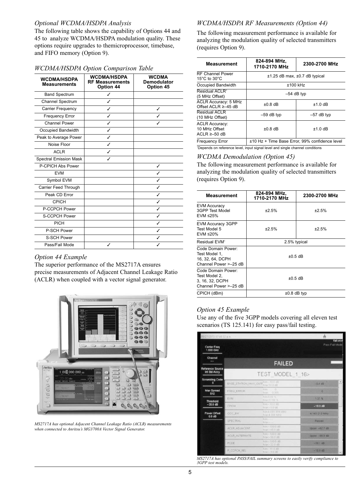#### *Optional WCDMA/HSDPA Analysis*

The following table shows the capability of Options 44 and 45 to analyze WCDMA/HSDPA modulation quality. These options require upgrades to themicroprocessor, timebase, and FIFO memory (Option 9).

| <b>WCDMA/HSDPA</b><br><b>Measurements</b> | <b>WCDMA/HSDPA</b><br><b>RF Measurements</b><br>Option 44 | <b>WCDMA</b><br><b>Demodulator</b><br>Option 45 |
|-------------------------------------------|-----------------------------------------------------------|-------------------------------------------------|
| <b>Band Spectrum</b>                      | ✓                                                         |                                                 |
| Channel Spectrum                          | ✓                                                         |                                                 |
| Carrier Frequency                         | ✓                                                         | ✓                                               |
| <b>Frequency Error</b>                    | ✓                                                         |                                                 |
| Channel Power                             | ✓                                                         | ✓                                               |
| Occupied Bandwidth                        | ✓                                                         |                                                 |
| Peak to Average Power                     | ✓                                                         |                                                 |
| Noise Floor                               | ✓                                                         |                                                 |
| <b>ACLR</b>                               | ✓                                                         |                                                 |
| <b>Spectral Emission Mask</b>             | ✓                                                         |                                                 |
| P-CPICH Abs Power                         |                                                           | ✓                                               |
| <b>EVM</b>                                |                                                           | ℐ                                               |
| Symbol EVM                                |                                                           | ✓                                               |
| Carrier Feed Through                      |                                                           | ✓                                               |
| Peak CD Error                             |                                                           | ✓                                               |
| <b>CPICH</b>                              |                                                           | ✓                                               |
| P-CCPCH Power                             |                                                           | ✓                                               |
| S-CCPCH Power                             |                                                           | ✓                                               |
| <b>PICH</b>                               |                                                           | ✓                                               |
| P-SCH Power                               |                                                           | ℐ                                               |
| S-SCH Power                               |                                                           | ✓                                               |
| Pass/Fail Mode                            | ℐ                                                         | ℐ                                               |

#### *WCDMA/HSDPA Option Comparison Table*

#### *Option 44 Example*

The superior performance of the MS2717A ensures precise measurements of Adjacent Channel Leakage Ratio (ACLR) when coupled with a vector signal generator.



*MS2717A has optional Adjacent Channel Leakage Ratio (ACLR) measurements when connected to Anritsu's MG3700A Vector Signal Generator.*

#### *WCDMA/HSDPA RF Measurements (Option 44)*

The following measurement performance is available for analyzing the modulation quality of selected transmitters (requires Option 9).

| <b>Measurement</b>                                           | 824-894 MHz.<br>1710-2170 MHz                  | 2300-2700 MHz |
|--------------------------------------------------------------|------------------------------------------------|---------------|
| <b>RF Channel Power</b><br>15 $\degree$ C to 30 $\degree$ C  | ±1.25 dB max, ±0.7 dB typical                  |               |
| Occupied Bandwidth                                           | $±100$ kHz                                     |               |
| Residual ACLR <sup>1</sup><br>(5 MHz Offset)                 | $-54$ dB typ                                   |               |
| <b>ACLR Accuracy: 5 MHz</b><br>Offset ACLR $\geq -45$ dB     | $\pm 0.8$ dB                                   | $±1.0$ dB     |
| Residual ACLR<br>(10 MHz Offset)                             | $-59$ dB typ                                   | $-57$ dB typ  |
| <b>ACLR Accuracy:</b><br>10 MHz Offset<br>ACLR $\geq -50$ dB | $\pm 0.8$ dB                                   | $±1.0$ dB     |
| <b>Frequency Error</b>                                       | ±10 Hz + Time Base Error, 99% confidence level |               |

1 Depends on reference level, input signal level and single channel conditions

#### *WCDMA Demodulation (Option 45)*

The following measurement performance is available for analyzing the modulation quality of selected transmitters (requires Option 9).

| <b>Measurement</b>                                                                 | 824-894 MHz.<br>1710-2170 MHz | 2300-2700 MHz |
|------------------------------------------------------------------------------------|-------------------------------|---------------|
| <b>EVM Accuracy</b><br>3GPP Test Model<br>EVM ≤25%                                 | ±2.5%                         | ±2.5%         |
| <b>EVM Accuracy 3GPP</b><br>Test Model 5<br>EVM ≤20%                               | ±2.5%                         | ±2.5%         |
| Residual FVM <sup>1</sup>                                                          | 2.5% typical                  |               |
| Code Domain Power:<br>Test Model 1,<br>16. 32. 64. DCPH<br>Channel Power > - 25 dB | $\pm 0.5$ dB                  |               |
| Code Domain Power:<br>Test Model 2,<br>3, 16, 32, DCPH<br>Channel Power > - 25 dB  |                               | $\pm 0.5$ dB  |
| CPICH (dBm)                                                                        |                               | $±0.8$ dB typ |

#### *Option 45 Example*

Use any of the five 3GPP models covering all eleven test scenarios (TS 125.141) for easy pass/fail testing.

| 05/27/2073 07:46:32 p.m.                |                                          |                                     |                            |
|-----------------------------------------|------------------------------------------|-------------------------------------|----------------------------|
| Center Freq<br>1.000 GHz                |                                          |                                     | fail wod<br>Pass Fail Mode |
| Channel<br>                             |                                          | <b>FAILED</b>                       |                            |
| <b>Reference Source</b><br>Int Std Accy |                                          | TEST MODEL 1 16>                    |                            |
| <b>Scrambling Code</b><br>$\mathbf{a}$  | BASE_STATION_MAX_OUTF <sub>Max-100</sub> | Min - 10.0 IIB                      | ۰<br>$-0.4$ dB             |
| Max Spread<br>512                       | FREQ: ERROR                              | Mire<br>D.<br>0.005<br>Max          | ö                          |
| <b>Threshold</b>                        | EVM                                      | Min TLOG %<br>Mail 17.50 %          | 1:37.%                     |
| $-30.0$ dB                              | CPICH                                    | Min - 10.0 出<br>Max: - 0.0 dB       | $-10.0$ dB                 |
| Power Offset<br>$0.0$ dB                | OCC BW                                   | Min 4 899 999 MHz<br>Max: 4.300 MHz | 4 149 213 MHz              |
|                                         | SPECTRAL                                 | Min-<br>Macuus                      | Passed                     |
|                                         | ACLR-ADJACENT                            | $Min = 100.0.06$<br>Max -45.0 dB    | Upper. - 627 dB            |
|                                         | <b>ACLR: ALTERNATE</b>                   | Min -100.0 dB<br>Max -50.0 dB       | Upper: - 66 3 dB           |
|                                         | PCDE                                     | Min -100.0 dB<br>Max -32.0-dB       | $-50.1$ dB                 |
|                                         | P. CCPCH REL                             | Min - 11.0 dB<br>Mac-9.0 dB         | $-10.0 d$ B                |

*MS2717A has optional PASS/FAIL summary screens to easily verify compliance to 3GPP test models.*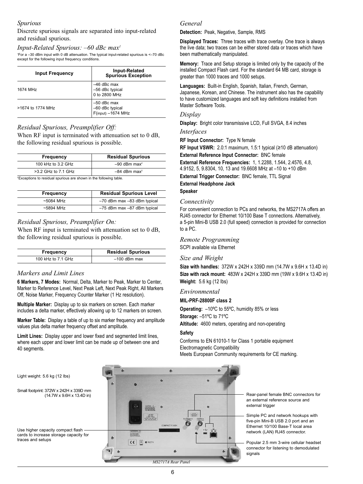#### *Spurious*

Discrete spurious signals are separated into input-related and residual spurious.

#### *Input-Related Spurious: –60 dBc max1*

1 For a –30 dBm input with 0 dB attenuation. The typical input-related spurious is <–70 dBc except for the following input frequency conditions.

| <b>Input Frequency</b> | <b>Input-Related</b><br>Spurious Exception                  |
|------------------------|-------------------------------------------------------------|
| 1674 MHz               | $-46$ dBc max<br>-56 dBc typical<br>0 to 2800 MHz           |
| >1674 to 1774 MHz      | $-50$ dBc max<br>-60 dBc typical<br>$F$ (input) $-1674$ MHz |

#### *Residual Spurious, Preamplifier Off:*

When RF input is terminated with attenuation set to 0 dB, the following residual spurious is possible.

| Frequency               | <b>Residual Spurious</b>   |
|-------------------------|----------------------------|
| 100 kHz to 3.2 GHz      | $-90$ dBm max <sup>2</sup> |
| $>3.2$ GHz to $7.1$ GHz | $-84$ dBm max <sup>2</sup> |

2 Exceptions to residual spurious are shown in the following table.

| Frequency   | <b>Residual Spurious Level</b> |
|-------------|--------------------------------|
| $~5084$ MHz | -70 dBm max -83 dBm typical    |
| $~5894$ MHz | -75 dBm max -87 dBm typical    |

#### *Residual Spurious, Preamplifier On:*

When RF input is terminated with attenuation set to 0 dB, the following residual spurious is possible.

| Frequency          | <b>Residual Spurious</b> |
|--------------------|--------------------------|
| 100 kHz to 7.1 GHz | $-100$ dBm max           |

#### *Markers and Limit Lines*

**6 Markers, 7 Modes:** Normal, Delta, Marker to Peak, Marker to Center, Marker to Reference Level, Next Peak Left, Next Peak Right, All Markers Off, Noise Marker, Frequency Counter Marker (1 Hz resolution).

**Multiple Marker:** Display up to six markers on screen. Each marker includes a delta marker, effectively allowing up to 12 markers on screen.

**Marker Table:** Display a table of up to six marker frequency and amplitude values plus delta marker frequency offset and amplitude.

**Limit Lines:** Display upper and lower fixed and segmented limit lines, where each upper and lower limit can be made up of between one and 40 segments.

#### *General*

**Detection:** Peak, Negative, Sample, RMS

**Displayed Traces:** Three traces with trace overlay. One trace is always the live data; two traces can be either stored data or traces which have been mathematically manipulated.

**Memory:** Trace and Setup storage is limited only by the capacity of the installed Compact Flash card. For the standard 64 MB card, storage is greater than 1000 traces and 1000 setups.

**Languages:** Built-in English, Spanish, Italian, French, German, Japanese, Korean, and Chinese. The instrument also has the capability to have customized languages and soft key definitions installed from Master Software Tools.

#### *Display*

**Display:** Bright color transmissive LCD, Full SVGA, 8.4 inches *Interfaces*

**RF Input Connector:** Type N female

**RF Input VSWR:** 2.0:1 maximum, 1.5:1 typical (≥10 dB attenuation)

**External Reference Input Connector:** BNC female

**External Reference Frequencies:** 1, 1.2288, 1.544, 2.4576, 4.8, 4.9152, 5, 9.8304, 10, 13 and 19.6608 MHz at –10 to +10 dBm

**External Trigger Connector:** BNC female, TTL Signal **External Headphone Jack**

# **Speaker**

#### *Connectivity*

For convenient connection to PCs and networks, the MS2717A offers an RJ45 connector for Ethernet 10/100 Base T connections. Alternatively, a 5-pin Mini-B USB 2.0 (full speed) connection is provided for connection to a PC.

*Remote Programming* SCPI available via Ethernet

#### *Size and Weight*

**Size with handles:** 372W x 242H x 339D mm (14.7W x 9.6H x 13.4D in) **Size with rack mount:** 483W x 242H x 339D mm (19W x 9.6H x 13.4D in) **Weight:** 5.6 kg (12 lbs)

#### *Environmental*

#### **MIL-PRF-28800F class 2**

**Operating:** –10ºC to 55ºC, humidity 85% or less **Storage:** –51ºC to 71ºC **Altitude:** 4600 meters, operating and non-operating

**Safety**

Conforms to EN 61010-1 for Class 1 portable equipment Electromagnetic Compatibility Meets European Community requirements for CE marking.



Rear-panel female BNC connectors for an external reference source and external trigger

Simple PC and network hookups with five-pin Mini-B USB 2.0 port and an Ethernet 10/100 Base-T local area network (LAN) RJ45 connector.

Popular 2.5 mm 3-wire cellular headset connector for listening to demodulated signals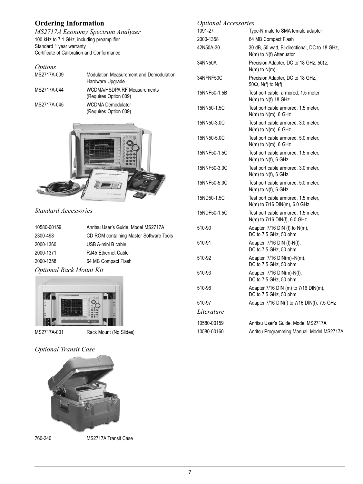# **Ordering Information**

*MS2717A Economy Spectrum Analyzer* 100 kHz to 7.1 GHz, including preamplifier Standard 1 year warranty Certificate of Calibration and Conformance

| <i>Options</i> |                                                             |
|----------------|-------------------------------------------------------------|
| MS2717A-009    | Modulation Measurement and Demodulation<br>Hardware Upgrade |
| MS2717A-044    | WCDMA/HSDPA RF Measurements<br>(Requires Option 009)        |
| MS2717A-045    | <b>WCDMA Demodulator</b><br>(Requires Option 009)           |



*Standard Accessories*

| 10580-00159                    | Anritsu User's Guide, Model MS2717A     |
|--------------------------------|-----------------------------------------|
| 2300-498                       | CD ROM containing Master Software Tools |
| 2000-1360                      | USB A-mini B cable                      |
| 2000-1371                      | RJ45 Ethernet Cable                     |
| 2000-1358                      | 64 MB Compact Flash                     |
| <b>Optional Rack Mount Kit</b> |                                         |



MS2717A-001 Rack Mount (No Slides)

# *Optional Transit Case*



760-240 MS2717A Transit Case

| <b>Optional Accessories</b> |                                                                          |
|-----------------------------|--------------------------------------------------------------------------|
| 1091-27                     | Type-N male to SMA female adapter                                        |
| 2000-1358                   | 64 MB Compact Flash                                                      |
| 42N50A-30                   | 30 dB, 50 watt, Bi-directional, DC to 18 GHz,<br>N(m) to N(f) Attenuator |
| 34NN50A                     | Precision Adapter, DC to 18 GHz, 50Ω,<br>$N(m)$ to $N(m)$                |
| 34NFNF50C                   | Precision Adapter, DC to 18 GHz,<br>50 $\Omega$ , N(f) to N(f)           |
| 15NNF50-1.5B                | Test port cable, armored, 1.5 meter<br>N(m) to N(f) 18 GHz               |
| 15NN50-1.5C                 | Test port cable armored, 1.5 meter,<br>$N(m)$ to $N(m)$ , 6 GHz          |
| 15NN50-3.0C                 | Test port cable armored, 3.0 meter,<br>$N(m)$ to $N(m)$ , 6 GHz          |
| 15NN50-5.0C                 | Test port cable armored, 5.0 meter,<br>$N(m)$ to $N(m)$ , 6 GHz          |
| 15NNF50-1.5C                | Test port cable armored, 1.5 meter,<br>$N(m)$ to $N(f)$ , 6 GHz          |
| 15NNF50-3.0C                | Test port cable armored, 3.0 meter,<br>$N(m)$ to $N(f)$ , 6 GHz          |
| 15NNF50-5.0C                | Test port cable armored, 5.0 meter,<br>$N(m)$ to $N(f)$ , 6 GHz          |
| 15ND50-1.5C                 | Test port cable armored, 1.5 meter,<br>N(m) to 7/16 DIN(m), 6.0 GHz      |
| 15NDF50-1.5C                | Test port cable armored, 1.5 meter,<br>N(m) to 7/16 DIN(f), 6.0 GHz      |
| 510-90                      | Adapter, 7/16 DIN (f) to N(m),<br>DC to 7.5 GHz, 50 ohm                  |
| 510-91                      | Adapter, 7/16 DIN (f)-N(f),<br>DC to 7.5 GHz, 50 ohm                     |
| 510-92                      | Adapter, 7/16 DIN(m)-N(m),<br>DC to 7.5 GHz, 50 ohm                      |
| 510-93                      | Adapter, 7/16 DIN(m)-N(f),<br>DC to 7.5 GHz, 50 ohm                      |
| 510-96                      | Adapter $7/16$ DIN (m) to $7/16$ DIN(m),<br>DC to 7.5 GHz, 50 ohm        |
| 510-97                      | Adapter 7/16 DIN(f) to 7/16 DIN(f), 7.5 GHz                              |
| Literature                  |                                                                          |
| 10580-00159                 | Anritsu User's Guide, Model MS2717A                                      |
| 10580-00160                 | Anritsu Programming Manual, Model MS2717A                                |
|                             |                                                                          |